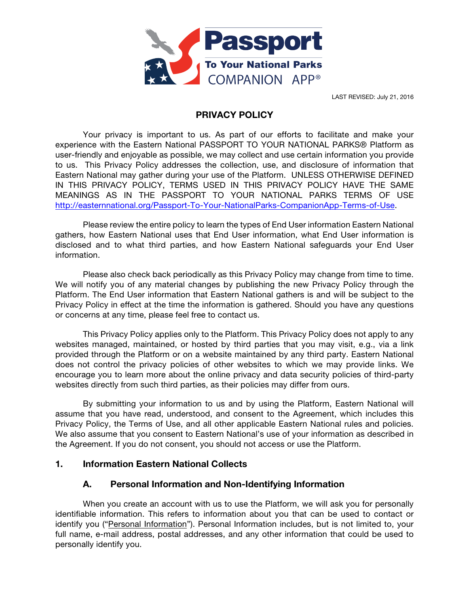

LAST REVISED: July 21, 2016

### PRIVACY POLICY

Your privacy is important to us. As part of our efforts to facilitate and make your experience with the Eastern National PASSPORT TO YOUR NATIONAL PARKS® Platform as user-friendly and enjoyable as possible, we may collect and use certain information you provide to us. This Privacy Policy addresses the collection, use, and disclosure of information that Eastern National may gather during your use of the Platform. UNLESS OTHERWISE DEFINED IN THIS PRIVACY POLICY, TERMS USED IN THIS PRIVACY POLICY HAVE THE SAME MEANINGS AS IN THE PASSPORT TO YOUR NATIONAL PARKS TERMS OF USE http://easternnational.org/Passport-To-Your-NationalParks-CompanionApp-Terms-of-Use.

Please review the entire policy to learn the types of End User information Eastern National gathers, how Eastern National uses that End User information, what End User information is disclosed and to what third parties, and how Eastern National safeguards your End User information.

Please also check back periodically as this Privacy Policy may change from time to time. We will notify you of any material changes by publishing the new Privacy Policy through the Platform. The End User information that Eastern National gathers is and will be subject to the Privacy Policy in effect at the time the information is gathered. Should you have any questions or concerns at any time, please feel free to contact us.

This Privacy Policy applies only to the Platform. This Privacy Policy does not apply to any websites managed, maintained, or hosted by third parties that you may visit, e.g., via a link provided through the Platform or on a website maintained by any third party. Eastern National does not control the privacy policies of other websites to which we may provide links. We encourage you to learn more about the online privacy and data security policies of third-party websites directly from such third parties, as their policies may differ from ours.

By submitting your information to us and by using the Platform, Eastern National will assume that you have read, understood, and consent to the Agreement, which includes this Privacy Policy, the Terms of Use, and all other applicable Eastern National rules and policies. We also assume that you consent to Eastern National's use of your information as described in the Agreement. If you do not consent, you should not access or use the Platform.

### 1. Information Eastern National Collects

### A. Personal Information and Non-Identifying Information

When you create an account with us to use the Platform, we will ask you for personally identifiable information. This refers to information about you that can be used to contact or identify you ("Personal Information"). Personal Information includes, but is not limited to, your full name, e-mail address, postal addresses, and any other information that could be used to personally identify you.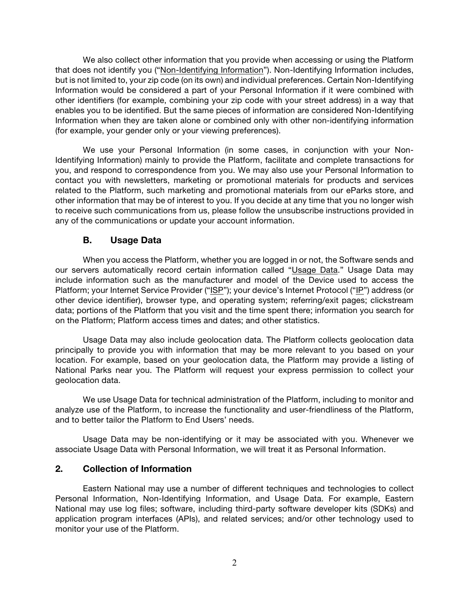We also collect other information that you provide when accessing or using the Platform that does not identify you ("Non-Identifying Information"). Non-Identifying Information includes, but is not limited to, your zip code (on its own) and individual preferences. Certain Non-Identifying Information would be considered a part of your Personal Information if it were combined with other identifiers (for example, combining your zip code with your street address) in a way that enables you to be identified. But the same pieces of information are considered Non-Identifying Information when they are taken alone or combined only with other non-identifying information (for example, your gender only or your viewing preferences).

We use your Personal Information (in some cases, in conjunction with your Non-Identifying Information) mainly to provide the Platform, facilitate and complete transactions for you, and respond to correspondence from you. We may also use your Personal Information to contact you with newsletters, marketing or promotional materials for products and services related to the Platform, such marketing and promotional materials from our eParks store, and other information that may be of interest to you. If you decide at any time that you no longer wish to receive such communications from us, please follow the unsubscribe instructions provided in any of the communications or update your account information.

### B. Usage Data

When you access the Platform, whether you are logged in or not, the Software sends and our servers automatically record certain information called "Usage Data." Usage Data may include information such as the manufacturer and model of the Device used to access the Platform; your Internet Service Provider ("ISP"); your device's Internet Protocol ("IP") address (or other device identifier), browser type, and operating system; referring/exit pages; clickstream data; portions of the Platform that you visit and the time spent there; information you search for on the Platform; Platform access times and dates; and other statistics.

Usage Data may also include geolocation data. The Platform collects geolocation data principally to provide you with information that may be more relevant to you based on your location. For example, based on your geolocation data, the Platform may provide a listing of National Parks near you. The Platform will request your express permission to collect your geolocation data.

We use Usage Data for technical administration of the Platform, including to monitor and analyze use of the Platform, to increase the functionality and user-friendliness of the Platform, and to better tailor the Platform to End Users' needs.

Usage Data may be non-identifying or it may be associated with you. Whenever we associate Usage Data with Personal Information, we will treat it as Personal Information.

### 2. Collection of Information

Eastern National may use a number of different techniques and technologies to collect Personal Information, Non-Identifying Information, and Usage Data. For example, Eastern National may use log files; software, including third-party software developer kits (SDKs) and application program interfaces (APIs), and related services; and/or other technology used to monitor your use of the Platform.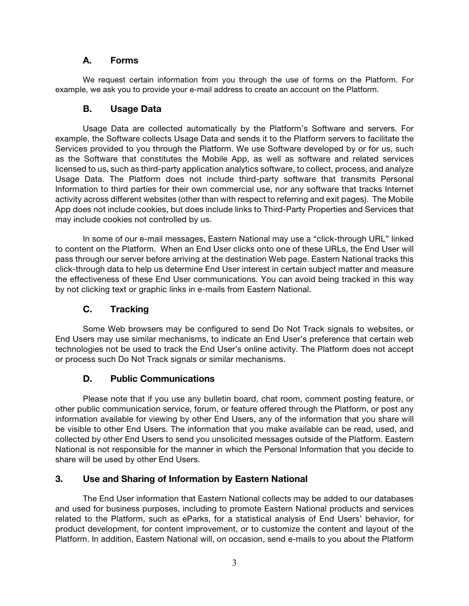### A. Forms

We request certain information from you through the use of forms on the Platform. For example, we ask you to provide your e-mail address to create an account on the Platform.

## B. Usage Data

Usage Data are collected automatically by the Platform's Software and servers. For example, the Software collects Usage Data and sends it to the Platform servers to facilitate the Services provided to you through the Platform. We use Software developed by or for us, such as the Software that constitutes the Mobile App, as well as software and related services licensed to us, such as third-party application analytics software, to collect, process, and analyze Usage Data. The Platform does not include third-party software that transmits Personal Information to third parties for their own commercial use, nor any software that tracks Internet activity across different websites (other than with respect to referring and exit pages). The Mobile App does not include cookies, but does include links to Third-Party Properties and Services that may include cookies not controlled by us.

In some of our e-mail messages, Eastern National may use a "click-through URL" linked to content on the Platform. When an End User clicks onto one of these URLs, the End User will pass through our server before arriving at the destination Web page. Eastern National tracks this click-through data to help us determine End User interest in certain subject matter and measure the effectiveness of these End User communications. You can avoid being tracked in this way by not clicking text or graphic links in e-mails from Eastern National.

# C. Tracking

Some Web browsers may be configured to send Do Not Track signals to websites, or End Users may use similar mechanisms, to indicate an End User's preference that certain web technologies not be used to track the End User's online activity. The Platform does not accept or process such Do Not Track signals or similar mechanisms.

### D. Public Communications

Please note that if you use any bulletin board, chat room, comment posting feature, or other public communication service, forum, or feature offered through the Platform, or post any information available for viewing by other End Users, any of the information that you share will be visible to other End Users. The information that you make available can be read, used, and collected by other End Users to send you unsolicited messages outside of the Platform. Eastern National is not responsible for the manner in which the Personal Information that you decide to share will be used by other End Users.

### 3. Use and Sharing of Information by Eastern National

The End User information that Eastern National collects may be added to our databases and used for business purposes, including to promote Eastern National products and services related to the Platform, such as eParks, for a statistical analysis of End Users' behavior, for product development, for content improvement, or to customize the content and layout of the Platform. In addition, Eastern National will, on occasion, send e-mails to you about the Platform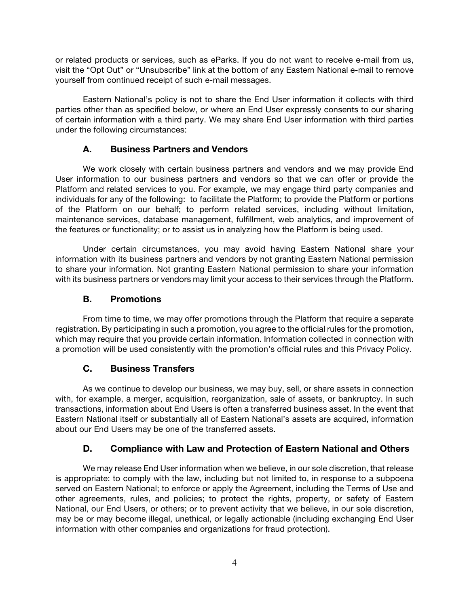or related products or services, such as eParks. If you do not want to receive e-mail from us, visit the "Opt Out" or "Unsubscribe" link at the bottom of any Eastern National e-mail to remove yourself from continued receipt of such e-mail messages.

Eastern National's policy is not to share the End User information it collects with third parties other than as specified below, or where an End User expressly consents to our sharing of certain information with a third party. We may share End User information with third parties under the following circumstances:

## A. Business Partners and Vendors

We work closely with certain business partners and vendors and we may provide End User information to our business partners and vendors so that we can offer or provide the Platform and related services to you. For example, we may engage third party companies and individuals for any of the following: to facilitate the Platform; to provide the Platform or portions of the Platform on our behalf; to perform related services, including without limitation, maintenance services, database management, fulfillment, web analytics, and improvement of the features or functionality; or to assist us in analyzing how the Platform is being used.

Under certain circumstances, you may avoid having Eastern National share your information with its business partners and vendors by not granting Eastern National permission to share your information. Not granting Eastern National permission to share your information with its business partners or vendors may limit your access to their services through the Platform.

### B. Promotions

From time to time, we may offer promotions through the Platform that require a separate registration. By participating in such a promotion, you agree to the official rules for the promotion, which may require that you provide certain information. Information collected in connection with a promotion will be used consistently with the promotion's official rules and this Privacy Policy.

### C. Business Transfers

As we continue to develop our business, we may buy, sell, or share assets in connection with, for example, a merger, acquisition, reorganization, sale of assets, or bankruptcy. In such transactions, information about End Users is often a transferred business asset. In the event that Eastern National itself or substantially all of Eastern National's assets are acquired, information about our End Users may be one of the transferred assets.

### D. Compliance with Law and Protection of Eastern National and Others

We may release End User information when we believe, in our sole discretion, that release is appropriate: to comply with the law, including but not limited to, in response to a subpoena served on Eastern National; to enforce or apply the Agreement, including the Terms of Use and other agreements, rules, and policies; to protect the rights, property, or safety of Eastern National, our End Users, or others; or to prevent activity that we believe, in our sole discretion, may be or may become illegal, unethical, or legally actionable (including exchanging End User information with other companies and organizations for fraud protection).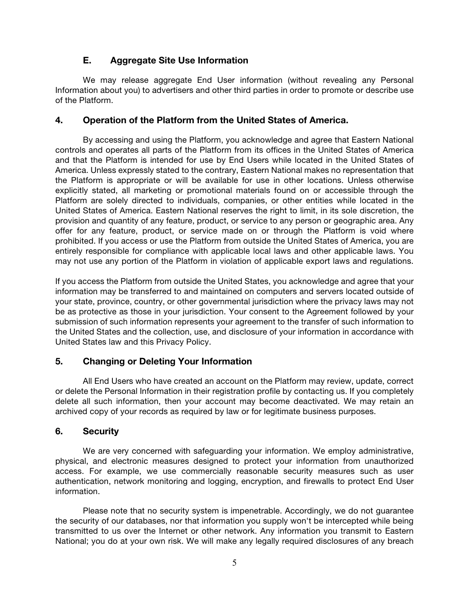## E. Aggregate Site Use Information

We may release aggregate End User information (without revealing any Personal Information about you) to advertisers and other third parties in order to promote or describe use of the Platform.

### 4. Operation of the Platform from the United States of America.

By accessing and using the Platform, you acknowledge and agree that Eastern National controls and operates all parts of the Platform from its offices in the United States of America and that the Platform is intended for use by End Users while located in the United States of America. Unless expressly stated to the contrary, Eastern National makes no representation that the Platform is appropriate or will be available for use in other locations. Unless otherwise explicitly stated, all marketing or promotional materials found on or accessible through the Platform are solely directed to individuals, companies, or other entities while located in the United States of America. Eastern National reserves the right to limit, in its sole discretion, the provision and quantity of any feature, product, or service to any person or geographic area. Any offer for any feature, product, or service made on or through the Platform is void where prohibited. If you access or use the Platform from outside the United States of America, you are entirely responsible for compliance with applicable local laws and other applicable laws. You may not use any portion of the Platform in violation of applicable export laws and regulations.

If you access the Platform from outside the United States, you acknowledge and agree that your information may be transferred to and maintained on computers and servers located outside of your state, province, country, or other governmental jurisdiction where the privacy laws may not be as protective as those in your jurisdiction. Your consent to the Agreement followed by your submission of such information represents your agreement to the transfer of such information to the United States and the collection, use, and disclosure of your information in accordance with United States law and this Privacy Policy.

# 5. Changing or Deleting Your Information

All End Users who have created an account on the Platform may review, update, correct or delete the Personal Information in their registration profile by contacting us. If you completely delete all such information, then your account may become deactivated. We may retain an archived copy of your records as required by law or for legitimate business purposes.

### 6. Security

We are very concerned with safeguarding your information. We employ administrative, physical, and electronic measures designed to protect your information from unauthorized access. For example, we use commercially reasonable security measures such as user authentication, network monitoring and logging, encryption, and firewalls to protect End User information.

Please note that no security system is impenetrable. Accordingly, we do not guarantee the security of our databases, nor that information you supply won't be intercepted while being transmitted to us over the Internet or other network. Any information you transmit to Eastern National; you do at your own risk. We will make any legally required disclosures of any breach